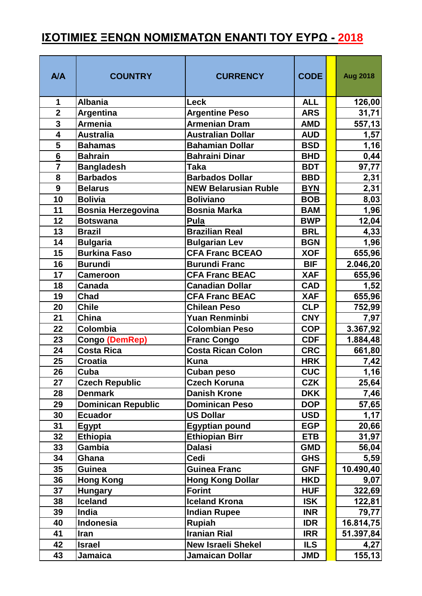## **ΙΣΟΤΙΜΙΕΣ ΞΕΝΩΝ ΝΟΜΙΣΜΑΤΩΝ ΕΝΑΝΤΙ ΤΟΥ ΕΥΡΩ - 2018**

| <b>A/A</b>              | <b>COUNTRY</b>            | <b>CURRENCY</b>             | <b>CODE</b> | <b>Aug 2018</b> |
|-------------------------|---------------------------|-----------------------------|-------------|-----------------|
| 1                       | <b>Albania</b>            | Leck                        | <b>ALL</b>  | 126,00          |
| $\overline{2}$          | Argentina                 | <b>Argentine Peso</b>       | <b>ARS</b>  | 31,71           |
| $\overline{\mathbf{3}}$ | <b>Armenia</b>            | <b>Armenian Dram</b>        | <b>AMD</b>  | 557,13          |
| $\overline{4}$          | <b>Australia</b>          | <b>Australian Dollar</b>    | <b>AUD</b>  | 1,57            |
| 5                       | <b>Bahamas</b>            | <b>Bahamian Dollar</b>      | <b>BSD</b>  | 1,16            |
| 6                       | <b>Bahrain</b>            | <b>Bahraini Dinar</b>       | <b>BHD</b>  | 0,44            |
| $\overline{7}$          | <b>Bangladesh</b>         | <b>Taka</b>                 | <b>BDT</b>  | 97,77           |
| 8                       | <b>Barbados</b>           | <b>Barbados Dollar</b>      | <b>BBD</b>  | 2,31            |
| 9                       | <b>Belarus</b>            | <b>NEW Belarusian Ruble</b> | <b>BYN</b>  | 2,31            |
| 10                      | <b>Bolivia</b>            | <b>Boliviano</b>            | <b>BOB</b>  | 8,03            |
| 11                      | <b>Bosnia Herzegovina</b> | <b>Bosnia Marka</b>         | <b>BAM</b>  | 1,96            |
| 12                      | <b>Botswana</b>           | Pula                        | <b>BWP</b>  | 12,04           |
| 13                      | <b>Brazil</b>             | <b>Brazilian Real</b>       | <b>BRL</b>  | 4,33            |
| 14                      | <b>Bulgaria</b>           | <b>Bulgarian Lev</b>        | <b>BGN</b>  | 1,96            |
| 15                      | <b>Burkina Faso</b>       | <b>CFA Franc BCEAO</b>      | <b>XOF</b>  | 655,96          |
| 16                      | <b>Burundi</b>            | <b>Burundi Franc</b>        | <b>BIF</b>  | 2.046,20        |
| 17                      | <b>Cameroon</b>           | <b>CFA Franc BEAC</b>       | <b>XAF</b>  | 655,96          |
| 18                      | <b>Canada</b>             | <b>Canadian Dollar</b>      | <b>CAD</b>  | 1,52            |
| 19                      | Chad                      | <b>CFA Franc BEAC</b>       | <b>XAF</b>  | 655,96          |
| 20                      | <b>Chile</b>              | <b>Chilean Peso</b>         | <b>CLP</b>  | 752,99          |
| 21                      | China                     | <b>Yuan Renminbi</b>        | <b>CNY</b>  | 7,97            |
| 22                      | Colombia                  | <b>Colombian Peso</b>       | <b>COP</b>  | 3.367,92        |
| 23                      | <b>Congo (DemRep)</b>     | <b>Franc Congo</b>          | <b>CDF</b>  | 1.884,48        |
| 24                      | <b>Costa Rica</b>         | <b>Costa Rican Colon</b>    | <b>CRC</b>  | 661,80          |
| 25                      | <b>Croatia</b>            | <b>Kuna</b>                 | <b>HRK</b>  | 7,42            |
| 26                      | Cuba                      | <b>Cuban peso</b>           | <b>CUC</b>  | 1,16            |
| 27                      | <b>Czech Republic</b>     | <b>Czech Koruna</b>         | <b>CZK</b>  | 25,64           |
| 28                      | <b>Denmark</b>            | <b>Danish Krone</b>         | <b>DKK</b>  | 7,46            |
| 29                      | <b>Dominican Republic</b> | <b>Dominican Peso</b>       | <b>DOP</b>  | 57,65           |
| 30                      | <b>Ecuador</b>            | <b>US Dollar</b>            | <b>USD</b>  | 1,17            |
| 31                      | <b>Egypt</b>              | <b>Egyptian pound</b>       | <b>EGP</b>  | 20,66           |
| 32                      | <b>Ethiopia</b>           | <b>Ethiopian Birr</b>       | <b>ETB</b>  | 31,97           |
| 33                      | Gambia                    | <b>Dalasi</b>               | <b>GMD</b>  | 56,04           |
| 34                      | Ghana                     | Cedi                        | <b>GHS</b>  | 5,59            |
| 35                      | Guinea                    | <b>Guinea Franc</b>         | <b>GNF</b>  | 10.490,40       |
| 36                      | <b>Hong Kong</b>          | <b>Hong Kong Dollar</b>     | <b>HKD</b>  | 9,07            |
| 37                      | <b>Hungary</b>            | <b>Forint</b>               | <b>HUF</b>  | 322,69          |
| 38                      | <b>Iceland</b>            | <b>Iceland Krona</b>        | <b>ISK</b>  | 122,81          |
| 39                      | India                     | <b>Indian Rupee</b>         | <b>INR</b>  | 79,77           |
| 40                      | Indonesia                 | Rupiah                      | <b>IDR</b>  | 16.814,75       |
| 41                      | <b>Iran</b>               | <b>Iranian Rial</b>         | <b>IRR</b>  | 51.397,84       |
| 42                      | <b>Israel</b>             | <b>New Israeli Shekel</b>   | <b>ILS</b>  | 4,27            |
| 43                      | Jamaica                   | Jamaican Dollar             | <b>JMD</b>  | 155, 13         |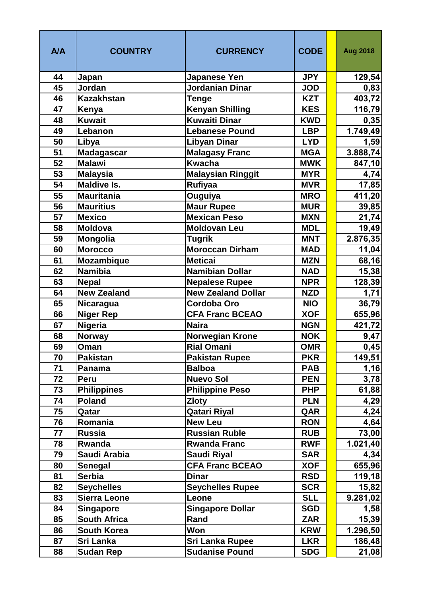| <b>A/A</b> | <b>COUNTRY</b>                      | <b>CURRENCY</b>                        | <b>CODE</b>              | <b>Aug 2018</b> |
|------------|-------------------------------------|----------------------------------------|--------------------------|-----------------|
| 44         | Japan                               | <b>Japanese Yen</b>                    | <b>JPY</b>               | 129,54          |
| 45         | Jordan                              | <b>Jordanian Dinar</b>                 | <b>JOD</b>               | 0,83            |
| 46         | <b>Kazakhstan</b>                   | <b>Tenge</b>                           | <b>KZT</b>               | 403,72          |
| 47         | Kenya                               | <b>Kenyan Shilling</b>                 | <b>KES</b>               | 116,79          |
| 48         | <b>Kuwait</b>                       | <b>Kuwaiti Dinar</b>                   | <b>KWD</b>               | 0,35            |
| 49         | Lebanon                             | <b>Lebanese Pound</b>                  | <b>LBP</b>               | 1.749,49        |
| 50         | Libya                               | <b>Libyan Dinar</b>                    | <b>LYD</b>               | 1,59            |
| 51         | <b>Madagascar</b>                   | <b>Malagasy Franc</b>                  | <b>MGA</b>               | 3.888,74        |
| 52         | <b>Malawi</b>                       | <b>Kwacha</b>                          | <b>MWK</b>               | 847,10          |
| 53         | <b>Malaysia</b>                     | <b>Malaysian Ringgit</b>               | <b>MYR</b>               | 4,74            |
| 54         | <b>Maldive Is.</b>                  | <b>Rufiyaa</b>                         | <b>MVR</b>               | 17,85           |
| 55         | <b>Mauritania</b>                   | Ouguiya                                | <b>MRO</b>               | 411,20          |
| 56         | <b>Mauritius</b>                    | <b>Maur Rupee</b>                      | <b>MUR</b>               | 39,85           |
| 57         | <b>Mexico</b>                       | <b>Mexican Peso</b>                    | <b>MXN</b>               | 21,74           |
| 58         | Moldova                             | <b>Moldovan Leu</b>                    | <b>MDL</b>               | 19,49           |
| 59         | <b>Mongolia</b>                     | <b>Tugrik</b>                          | <b>MNT</b>               | 2.876,35        |
| 60         | <b>Morocco</b>                      | Moroccan Dirham                        | <b>MAD</b>               | 11,04           |
| 61         | <b>Mozambique</b>                   | <b>Meticai</b>                         | <b>MZN</b>               | 68,16           |
| 62         | <b>Namibia</b>                      | <b>Namibian Dollar</b>                 | <b>NAD</b>               | 15,38           |
| 63         | <b>Nepal</b>                        | <b>Nepalese Rupee</b>                  | <b>NPR</b>               | 128,39          |
| 64         | <b>New Zealand</b>                  | <b>New Zealand Dollar</b>              | <b>NZD</b>               | 1,71            |
| 65         | <b>Nicaragua</b>                    | <b>Cordoba Oro</b>                     | <b>NIO</b>               | 36,79           |
| 66         | <b>Niger Rep</b>                    | <b>CFA Franc BCEAO</b>                 | <b>XOF</b>               | 655,96          |
| 67         | <b>Nigeria</b>                      | <b>Naira</b>                           | <b>NGN</b>               | 421,72          |
| 68         | <b>Norway</b>                       | <b>Norwegian Krone</b>                 | <b>NOK</b>               | 9,47            |
| 69         | Oman                                | <b>Rial Omani</b>                      | <b>OMR</b>               | 0,45            |
| 70         | <b>Pakistan</b>                     | <b>Pakistan Rupee</b>                  | <b>PKR</b>               | 149,51          |
| 71<br>72   | Panama                              | <b>Balboa</b><br><b>Nuevo Sol</b>      | <b>PAB</b><br><b>PEN</b> | 1,16            |
| 73         | Peru                                |                                        | <b>PHP</b>               | 3,78            |
| 74         | <b>Philippines</b><br><b>Poland</b> | <b>Philippine Peso</b><br><b>Zloty</b> | <b>PLN</b>               | 61,88<br>4,29   |
| 75         | Qatar                               | <b>Qatari Riyal</b>                    | QAR                      | 4,24            |
| 76         | Romania                             | <b>New Leu</b>                         | <b>RON</b>               | 4,64            |
| 77         | <b>Russia</b>                       | <b>Russian Ruble</b>                   | <b>RUB</b>               | 73,00           |
| 78         | Rwanda                              | <b>Rwanda Franc</b>                    | <b>RWF</b>               | 1.021,40        |
| 79         | Saudi Arabia                        | <b>Saudi Riyal</b>                     | <b>SAR</b>               | 4,34            |
| 80         | <b>Senegal</b>                      | <b>CFA Franc BCEAO</b>                 | <b>XOF</b>               | 655,96          |
| 81         | <b>Serbia</b>                       | <b>Dinar</b>                           | <b>RSD</b>               | 119,18          |
| 82         | <b>Seychelles</b>                   | <b>Seychelles Rupee</b>                | <b>SCR</b>               | 15,82           |
| 83         | <b>Sierra Leone</b>                 | Leone                                  | <b>SLL</b>               | 9.281,02        |
| 84         | <b>Singapore</b>                    | <b>Singapore Dollar</b>                | <b>SGD</b>               | 1,58            |
| 85         | <b>South Africa</b>                 | Rand                                   | <b>ZAR</b>               | 15,39           |
| 86         | <b>South Korea</b>                  | Won                                    | <b>KRW</b>               | 1.296,50        |
| 87         | Sri Lanka                           | <b>Sri Lanka Rupee</b>                 | <b>LKR</b>               | 186,48          |
| 88         | <b>Sudan Rep</b>                    | <b>Sudanise Pound</b>                  | <b>SDG</b>               | 21,08           |